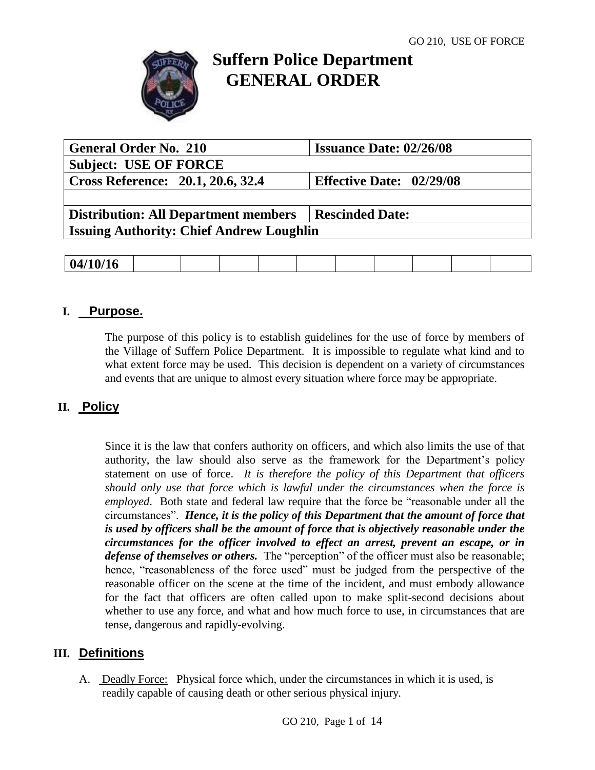

# **Suffern Police Department GENERAL ORDER**

| <b>General Order No. 210</b>                    | <b>Issuance Date: 02/26/08</b>  |
|-------------------------------------------------|---------------------------------|
| <b>Subject: USE OF FORCE</b>                    |                                 |
| Cross Reference: 20.1, 20.6, 32.4               | <b>Effective Date: 02/29/08</b> |
|                                                 |                                 |
| <b>Distribution: All Department members</b>     | <b>Rescinded Date:</b>          |
| <b>Issuing Authority: Chief Andrew Loughlin</b> |                                 |
|                                                 |                                 |

| 04/10/16 |
|----------|
|----------|

# **I. Purpose.**

The purpose of this policy is to establish guidelines for the use of force by members of the Village of Suffern Police Department. It is impossible to regulate what kind and to what extent force may be used. This decision is dependent on a variety of circumstances and events that are unique to almost every situation where force may be appropriate.

# **II. Policy**

Since it is the law that confers authority on officers, and which also limits the use of that authority, the law should also serve as the framework for the Department's policy statement on use of force. *It is therefore the policy of this Department that officers should only use that force which is lawful under the circumstances when the force is employed*. Both state and federal law require that the force be "reasonable under all the circumstances". *Hence, it is the policy of this Department that the amount of force that is used by officers shall be the amount of force that is objectively reasonable under the circumstances for the officer involved to effect an arrest, prevent an escape, or in defense of themselves or others.* The "perception" of the officer must also be reasonable; hence, "reasonableness of the force used" must be judged from the perspective of the reasonable officer on the scene at the time of the incident, and must embody allowance for the fact that officers are often called upon to make split-second decisions about whether to use any force, and what and how much force to use, in circumstances that are tense, dangerous and rapidly-evolving.

# **III. Definitions**

A. Deadly Force: Physical force which, under the circumstances in which it is used, is readily capable of causing death or other serious physical injury.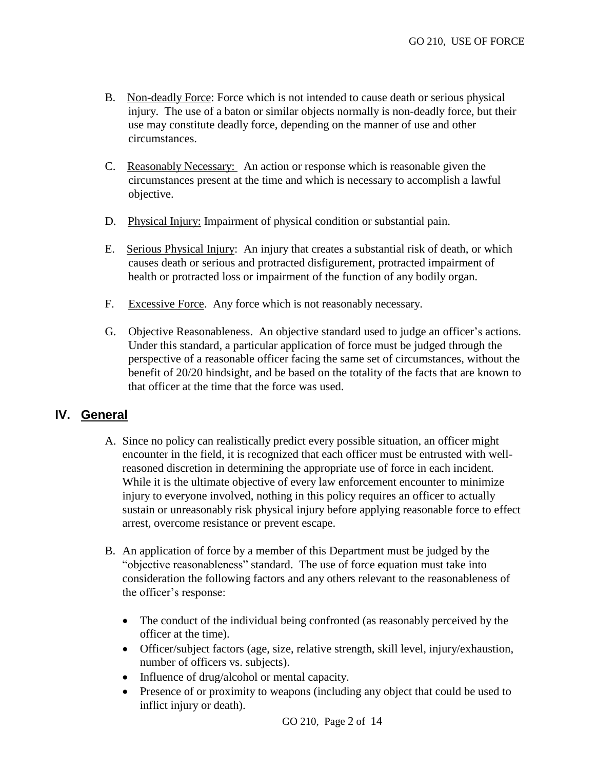- B. Non-deadly Force: Force which is not intended to cause death or serious physical injury. The use of a baton or similar objects normally is non-deadly force, but their use may constitute deadly force, depending on the manner of use and other circumstances.
- C. Reasonably Necessary: An action or response which is reasonable given the circumstances present at the time and which is necessary to accomplish a lawful objective.
- D. Physical Injury: Impairment of physical condition or substantial pain.
- E. Serious Physical Injury: An injury that creates a substantial risk of death, or which causes death or serious and protracted disfigurement, protracted impairment of health or protracted loss or impairment of the function of any bodily organ.
- F. Excessive Force. Any force which is not reasonably necessary.
- G. Objective Reasonableness. An objective standard used to judge an officer's actions. Under this standard, a particular application of force must be judged through the perspective of a reasonable officer facing the same set of circumstances, without the benefit of 20/20 hindsight, and be based on the totality of the facts that are known to that officer at the time that the force was used.

# **IV. General**

- A. Since no policy can realistically predict every possible situation, an officer might encounter in the field, it is recognized that each officer must be entrusted with wellreasoned discretion in determining the appropriate use of force in each incident. While it is the ultimate objective of every law enforcement encounter to minimize injury to everyone involved, nothing in this policy requires an officer to actually sustain or unreasonably risk physical injury before applying reasonable force to effect arrest, overcome resistance or prevent escape.
- B. An application of force by a member of this Department must be judged by the "objective reasonableness" standard. The use of force equation must take into consideration the following factors and any others relevant to the reasonableness of the officer's response:
	- The conduct of the individual being confronted (as reasonably perceived by the officer at the time).
	- Officer/subject factors (age, size, relative strength, skill level, injury/exhaustion, number of officers vs. subjects).
	- Influence of drug/alcohol or mental capacity.
	- Presence of or proximity to weapons (including any object that could be used to inflict injury or death).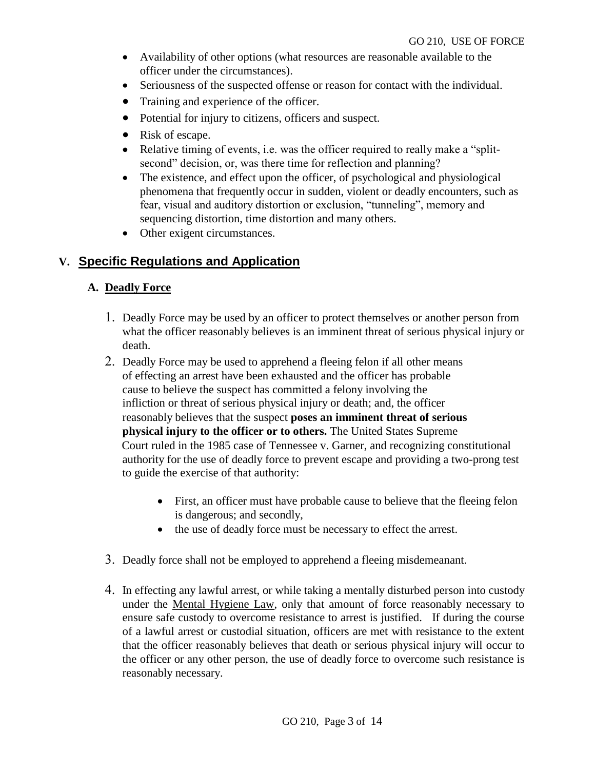- Availability of other options (what resources are reasonable available to the officer under the circumstances).
- Seriousness of the suspected offense or reason for contact with the individual.
- Training and experience of the officer.
- Potential for injury to citizens, officers and suspect.
- Risk of escape.
- Relative timing of events, i.e. was the officer required to really make a "splitsecond" decision, or, was there time for reflection and planning?
- The existence, and effect upon the officer, of psychological and physiological phenomena that frequently occur in sudden, violent or deadly encounters, such as fear, visual and auditory distortion or exclusion, "tunneling", memory and sequencing distortion, time distortion and many others.
- Other exigent circumstances.

# **V. Specific Regulations and Application**

#### **A. Deadly Force**

- Deadly Force may be used by an officer to protect themselves or another person from what the officer reasonably believes is an imminent threat of serious physical injury or death.
- 2. Deadly Force may be used to apprehend a fleeing felon if all other means of effecting an arrest have been exhausted and the officer has probable cause to believe the suspect has committed a felony involving the infliction or threat of serious physical injury or death; and, the officer reasonably believes that the suspect **poses an imminent threat of serious physical injury to the officer or to others.** The United States Supreme Court ruled in the 1985 case of Tennessee v. Garner, and recognizing constitutional authority for the use of deadly force to prevent escape and providing a two-prong test to guide the exercise of that authority:
	- First, an officer must have probable cause to believe that the fleeing felon is dangerous; and secondly,
	- the use of deadly force must be necessary to effect the arrest.
- Deadly force shall not be employed to apprehend a fleeing misdemeanant.
- In effecting any lawful arrest, or while taking a mentally disturbed person into custody under the Mental Hygiene Law, only that amount of force reasonably necessary to ensure safe custody to overcome resistance to arrest is justified. If during the course of a lawful arrest or custodial situation, officers are met with resistance to the extent that the officer reasonably believes that death or serious physical injury will occur to the officer or any other person, the use of deadly force to overcome such resistance is reasonably necessary.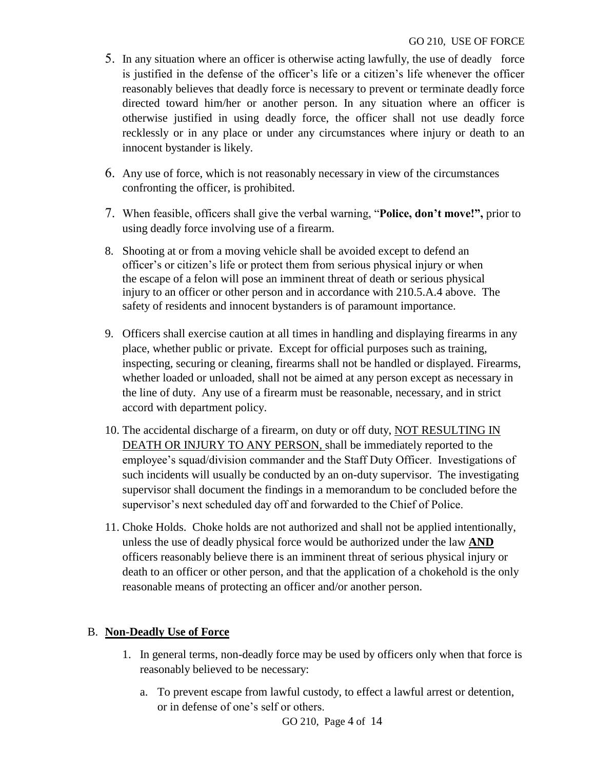- 5. In any situation where an officer is otherwise acting lawfully, the use of deadly force is justified in the defense of the officer's life or a citizen's life whenever the officer reasonably believes that deadly force is necessary to prevent or terminate deadly force directed toward him/her or another person. In any situation where an officer is otherwise justified in using deadly force, the officer shall not use deadly force recklessly or in any place or under any circumstances where injury or death to an innocent bystander is likely.
- Any use of force, which is not reasonably necessary in view of the circumstances confronting the officer, is prohibited.
- When feasible, officers shall give the verbal warning, "**Police, don't move!",** prior to using deadly force involving use of a firearm.
- 8. Shooting at or from a moving vehicle shall be avoided except to defend an officer's or citizen's life or protect them from serious physical injury or when the escape of a felon will pose an imminent threat of death or serious physical injury to an officer or other person and in accordance with 210.5.A.4 above. The safety of residents and innocent bystanders is of paramount importance.
- 9. Officers shall exercise caution at all times in handling and displaying firearms in any place, whether public or private. Except for official purposes such as training, inspecting, securing or cleaning, firearms shall not be handled or displayed. Firearms, whether loaded or unloaded, shall not be aimed at any person except as necessary in the line of duty. Any use of a firearm must be reasonable, necessary, and in strict accord with department policy.
- 10. The accidental discharge of a firearm, on duty or off duty, NOT RESULTING IN DEATH OR INJURY TO ANY PERSON, shall be immediately reported to the employee's squad/division commander and the Staff Duty Officer. Investigations of such incidents will usually be conducted by an on-duty supervisor. The investigating supervisor shall document the findings in a memorandum to be concluded before the supervisor's next scheduled day off and forwarded to the Chief of Police.
- 11. Choke Holds. Choke holds are not authorized and shall not be applied intentionally, unless the use of deadly physical force would be authorized under the law **AND** officers reasonably believe there is an imminent threat of serious physical injury or death to an officer or other person, and that the application of a chokehold is the only reasonable means of protecting an officer and/or another person.

# B. **Non-Deadly Use of Force**

- 1. In general terms, non-deadly force may be used by officers only when that force is reasonably believed to be necessary:
	- a. To prevent escape from lawful custody, to effect a lawful arrest or detention, or in defense of one's self or others.

GO 210, Page 4 of 14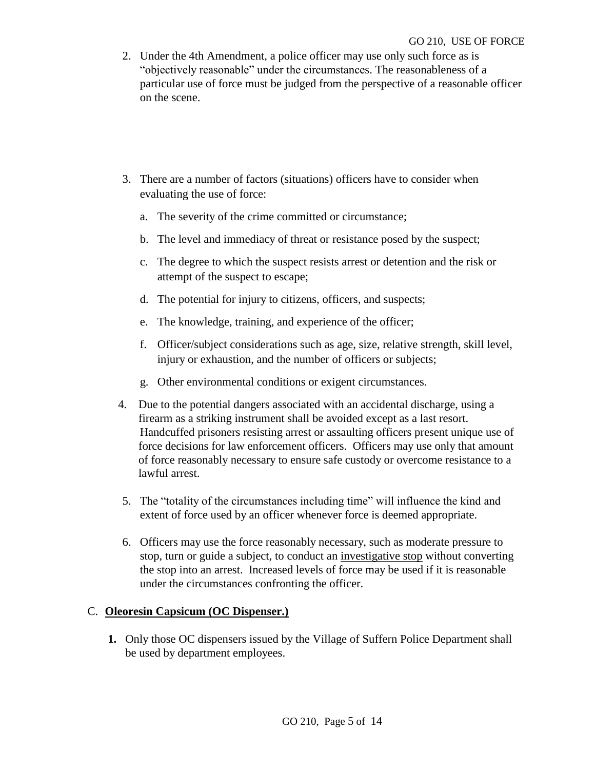- 2. Under the 4th Amendment, a police officer may use only such force as is "objectively reasonable" under the circumstances. The reasonableness of a particular use of force must be judged from the perspective of a reasonable officer on the scene.
- 3. There are a number of factors (situations) officers have to consider when evaluating the use of force:
	- a. The severity of the crime committed or circumstance;
	- b. The level and immediacy of threat or resistance posed by the suspect;
	- c. The degree to which the suspect resists arrest or detention and the risk or attempt of the suspect to escape;
	- d. The potential for injury to citizens, officers, and suspects;
	- e. The knowledge, training, and experience of the officer;
	- f. Officer/subject considerations such as age, size, relative strength, skill level, injury or exhaustion, and the number of officers or subjects;
	- g. Other environmental conditions or exigent circumstances.
- 4. Due to the potential dangers associated with an accidental discharge, using a firearm as a striking instrument shall be avoided except as a last resort. Handcuffed prisoners resisting arrest or assaulting officers present unique use of force decisions for law enforcement officers. Officers may use only that amount of force reasonably necessary to ensure safe custody or overcome resistance to a lawful arrest.
- 5. The "totality of the circumstances including time" will influence the kind and extent of force used by an officer whenever force is deemed appropriate.
- 6. Officers may use the force reasonably necessary, such as moderate pressure to stop, turn or guide a subject, to conduct an investigative stop without converting the stop into an arrest. Increased levels of force may be used if it is reasonable under the circumstances confronting the officer.

#### C. **Oleoresin Capsicum (OC Dispenser.)**

**1.** Only those OC dispensers issued by the Village of Suffern Police Department shall be used by department employees.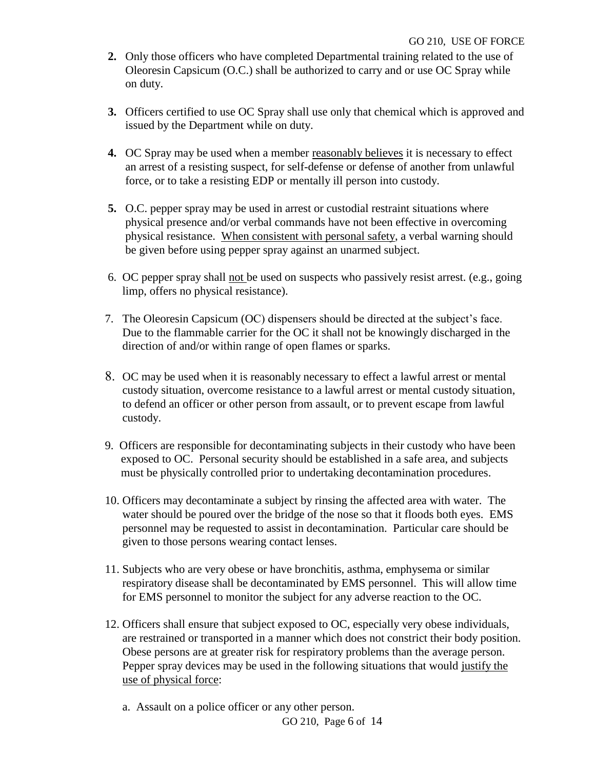- **2.** Only those officers who have completed Departmental training related to the use of Oleoresin Capsicum (O.C.) shall be authorized to carry and or use OC Spray while on duty.
- **3.** Officers certified to use OC Spray shall use only that chemical which is approved and issued by the Department while on duty.
- **4.** OC Spray may be used when a member reasonably believes it is necessary to effect an arrest of a resisting suspect, for self-defense or defense of another from unlawful force, or to take a resisting EDP or mentally ill person into custody.
- **5.** O.C. pepper spray may be used in arrest or custodial restraint situations where physical presence and/or verbal commands have not been effective in overcoming physical resistance. When consistent with personal safety, a verbal warning should be given before using pepper spray against an unarmed subject.
- 6. OC pepper spray shall not be used on suspects who passively resist arrest. (e.g., going limp, offers no physical resistance).
- 7. The Oleoresin Capsicum (OC) dispensers should be directed at the subject's face. Due to the flammable carrier for the OC it shall not be knowingly discharged in the direction of and/or within range of open flames or sparks.
- OC may be used when it is reasonably necessary to effect a lawful arrest or mental custody situation, overcome resistance to a lawful arrest or mental custody situation, to defend an officer or other person from assault, or to prevent escape from lawful custody.
- 9. Officers are responsible for decontaminating subjects in their custody who have been exposed to OC. Personal security should be established in a safe area, and subjects must be physically controlled prior to undertaking decontamination procedures.
- 10. Officers may decontaminate a subject by rinsing the affected area with water. The water should be poured over the bridge of the nose so that it floods both eyes. EMS personnel may be requested to assist in decontamination. Particular care should be given to those persons wearing contact lenses.
- 11. Subjects who are very obese or have bronchitis, asthma, emphysema or similar respiratory disease shall be decontaminated by EMS personnel. This will allow time for EMS personnel to monitor the subject for any adverse reaction to the OC.
- 12. Officers shall ensure that subject exposed to OC, especially very obese individuals, are restrained or transported in a manner which does not constrict their body position. Obese persons are at greater risk for respiratory problems than the average person. Pepper spray devices may be used in the following situations that would justify the use of physical force:
	- a. Assault on a police officer or any other person.

GO 210, Page 6 of 14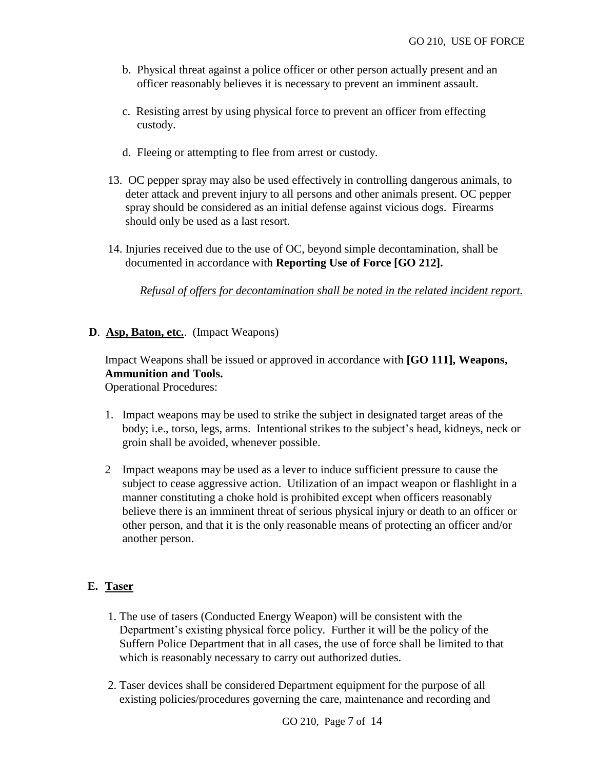- b. Physical threat against a police officer or other person actually present and an officer reasonably believes it is necessary to prevent an imminent assault.
- c. Resisting arrest by using physical force to prevent an officer from effecting custody.
- d. Fleeing or attempting to flee from arrest or custody.
- 13. OC pepper spray may also be used effectively in controlling dangerous animals, to deter attack and prevent injury to all persons and other animals present. OC pepper spray should be considered as an initial defense against vicious dogs. Firearms should only be used as a last resort.
- 14. Injuries received due to the use of OC, beyond simple decontamination, shall be documented in accordance with **Reporting Use of Force [GO 212].**

*Refusal of offers for decontamination shall be noted in the related incident report.* 

**D**. **Asp, Baton, etc.**. (Impact Weapons)

Impact Weapons shall be issued or approved in accordance with **[GO 111], Weapons, Ammunition and Tools.** Operational Procedures:

- 1. Impact weapons may be used to strike the subject in designated target areas of the body; i.e., torso, legs, arms. Intentional strikes to the subject's head, kidneys, neck or groin shall be avoided, whenever possible.
- 2 Impact weapons may be used as a lever to induce sufficient pressure to cause the subject to cease aggressive action. Utilization of an impact weapon or flashlight in a manner constituting a choke hold is prohibited except when officers reasonably believe there is an imminent threat of serious physical injury or death to an officer or other person, and that it is the only reasonable means of protecting an officer and/or another person.

#### **E. Taser**

- 1. The use of tasers (Conducted Energy Weapon) will be consistent with the Department's existing physical force policy. Further it will be the policy of the Suffern Police Department that in all cases, the use of force shall be limited to that which is reasonably necessary to carry out authorized duties.
- 2. Taser devices shall be considered Department equipment for the purpose of all existing policies/procedures governing the care, maintenance and recording and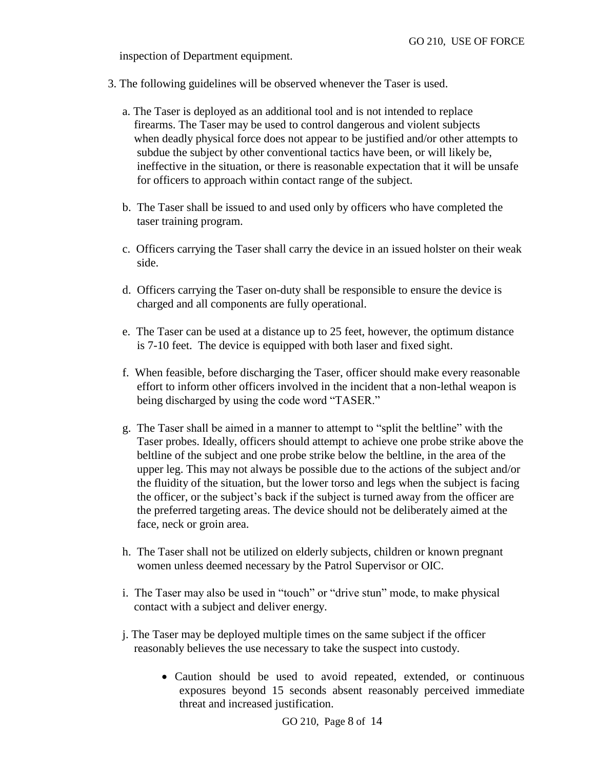inspection of Department equipment.

- 3. The following guidelines will be observed whenever the Taser is used.
	- a. The Taser is deployed as an additional tool and is not intended to replace firearms. The Taser may be used to control dangerous and violent subjects when deadly physical force does not appear to be justified and/or other attempts to subdue the subject by other conventional tactics have been, or will likely be, ineffective in the situation, or there is reasonable expectation that it will be unsafe for officers to approach within contact range of the subject.
	- b. The Taser shall be issued to and used only by officers who have completed the taser training program.
	- c. Officers carrying the Taser shall carry the device in an issued holster on their weak side.
	- d. Officers carrying the Taser on-duty shall be responsible to ensure the device is charged and all components are fully operational.
	- e. The Taser can be used at a distance up to 25 feet, however, the optimum distance is 7-10 feet. The device is equipped with both laser and fixed sight.
	- f. When feasible, before discharging the Taser, officer should make every reasonable effort to inform other officers involved in the incident that a non-lethal weapon is being discharged by using the code word "TASER."
	- g. The Taser shall be aimed in a manner to attempt to "split the beltline" with the Taser probes. Ideally, officers should attempt to achieve one probe strike above the beltline of the subject and one probe strike below the beltline, in the area of the upper leg. This may not always be possible due to the actions of the subject and/or the fluidity of the situation, but the lower torso and legs when the subject is facing the officer, or the subject's back if the subject is turned away from the officer are the preferred targeting areas. The device should not be deliberately aimed at the face, neck or groin area.
	- h. The Taser shall not be utilized on elderly subjects, children or known pregnant women unless deemed necessary by the Patrol Supervisor or OIC.
	- i. The Taser may also be used in "touch" or "drive stun" mode, to make physical contact with a subject and deliver energy.
	- j. The Taser may be deployed multiple times on the same subject if the officer reasonably believes the use necessary to take the suspect into custody.
		- Caution should be used to avoid repeated, extended, or continuous exposures beyond 15 seconds absent reasonably perceived immediate threat and increased justification.

GO 210, Page 8 of 14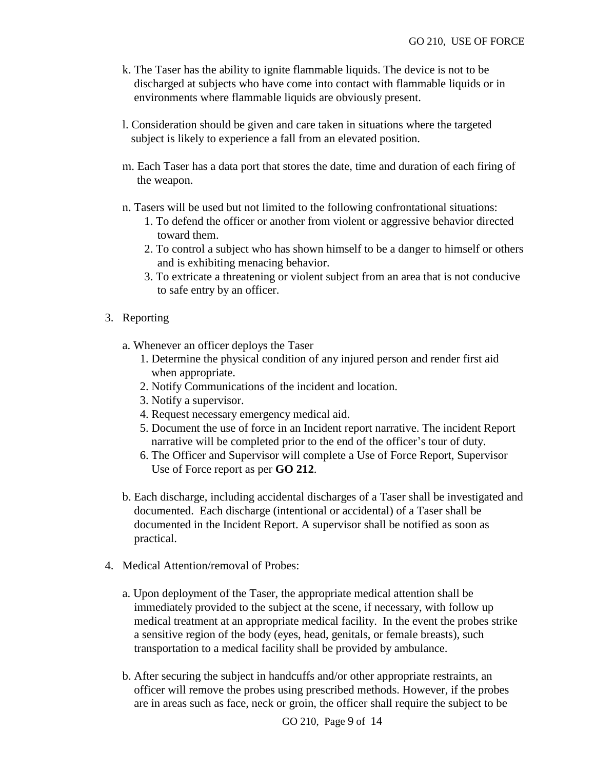- k. The Taser has the ability to ignite flammable liquids. The device is not to be discharged at subjects who have come into contact with flammable liquids or in environments where flammable liquids are obviously present.
- l. Consideration should be given and care taken in situations where the targeted subject is likely to experience a fall from an elevated position.
- m. Each Taser has a data port that stores the date, time and duration of each firing of the weapon.
- n. Tasers will be used but not limited to the following confrontational situations:
	- 1. To defend the officer or another from violent or aggressive behavior directed toward them.
	- 2. To control a subject who has shown himself to be a danger to himself or others and is exhibiting menacing behavior.
	- 3. To extricate a threatening or violent subject from an area that is not conducive to safe entry by an officer.
- 3. Reporting
	- a. Whenever an officer deploys the Taser
		- 1. Determine the physical condition of any injured person and render first aid when appropriate.
		- 2. Notify Communications of the incident and location.
		- 3. Notify a supervisor.
		- 4. Request necessary emergency medical aid.
		- 5. Document the use of force in an Incident report narrative. The incident Report narrative will be completed prior to the end of the officer's tour of duty.
		- 6. The Officer and Supervisor will complete a Use of Force Report, Supervisor Use of Force report as per **GO 212**.
	- b. Each discharge, including accidental discharges of a Taser shall be investigated and documented. Each discharge (intentional or accidental) of a Taser shall be documented in the Incident Report. A supervisor shall be notified as soon as practical.
- 4. Medical Attention/removal of Probes:
	- a. Upon deployment of the Taser, the appropriate medical attention shall be immediately provided to the subject at the scene, if necessary, with follow up medical treatment at an appropriate medical facility. In the event the probes strike a sensitive region of the body (eyes, head, genitals, or female breasts), such transportation to a medical facility shall be provided by ambulance.
	- b. After securing the subject in handcuffs and/or other appropriate restraints, an officer will remove the probes using prescribed methods. However, if the probes are in areas such as face, neck or groin, the officer shall require the subject to be

GO 210, Page 9 of 14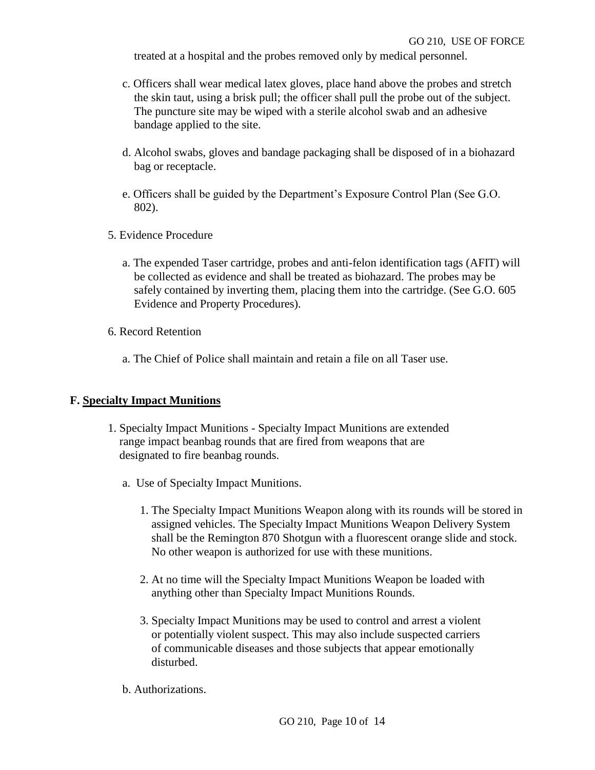treated at a hospital and the probes removed only by medical personnel.

- c. Officers shall wear medical latex gloves, place hand above the probes and stretch the skin taut, using a brisk pull; the officer shall pull the probe out of the subject. The puncture site may be wiped with a sterile alcohol swab and an adhesive bandage applied to the site.
- d. Alcohol swabs, gloves and bandage packaging shall be disposed of in a biohazard bag or receptacle.
- e. Officers shall be guided by the Department's Exposure Control Plan (See G.O. 802).
- 5. Evidence Procedure
	- a. The expended Taser cartridge, probes and anti-felon identification tags (AFIT) will be collected as evidence and shall be treated as biohazard. The probes may be safely contained by inverting them, placing them into the cartridge. (See G.O. 605 Evidence and Property Procedures).
- 6. Record Retention
	- a. The Chief of Police shall maintain and retain a file on all Taser use.

#### **F. Specialty Impact Munitions**

- 1. Specialty Impact Munitions Specialty Impact Munitions are extended range impact beanbag rounds that are fired from weapons that are designated to fire beanbag rounds.
	- a. Use of Specialty Impact Munitions.
		- 1. The Specialty Impact Munitions Weapon along with its rounds will be stored in assigned vehicles. The Specialty Impact Munitions Weapon Delivery System shall be the Remington 870 Shotgun with a fluorescent orange slide and stock. No other weapon is authorized for use with these munitions.
		- 2. At no time will the Specialty Impact Munitions Weapon be loaded with anything other than Specialty Impact Munitions Rounds.
		- 3. Specialty Impact Munitions may be used to control and arrest a violent or potentially violent suspect. This may also include suspected carriers of communicable diseases and those subjects that appear emotionally disturbed.
	- b. Authorizations.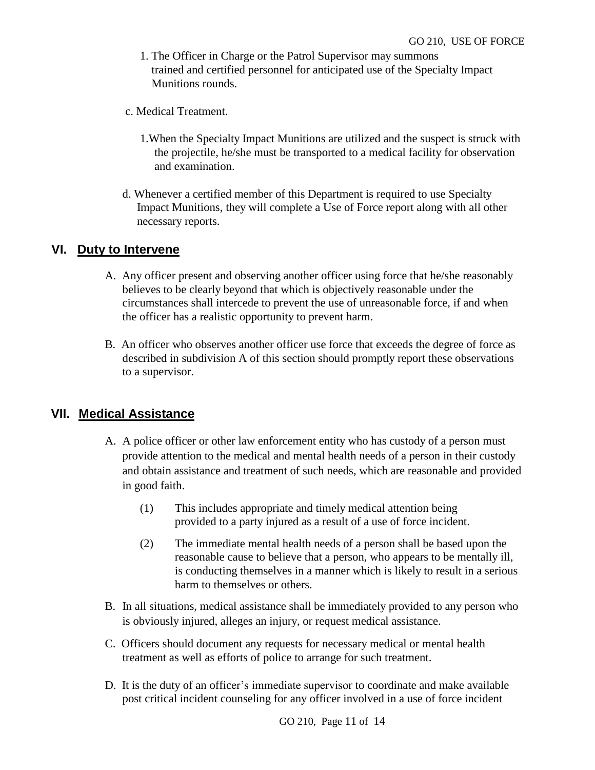- 1. The Officer in Charge or the Patrol Supervisor may summons trained and certified personnel for anticipated use of the Specialty Impact Munitions rounds.
- c. Medical Treatment.
	- 1.When the Specialty Impact Munitions are utilized and the suspect is struck with the projectile, he/she must be transported to a medical facility for observation and examination.
- d. Whenever a certified member of this Department is required to use Specialty Impact Munitions, they will complete a Use of Force report along with all other necessary reports.

# **VI. Duty to Intervene**

- A. Any officer present and observing another officer using force that he/she reasonably believes to be clearly beyond that which is objectively reasonable under the circumstances shall intercede to prevent the use of unreasonable force, if and when the officer has a realistic opportunity to prevent harm.
- B. An officer who observes another officer use force that exceeds the degree of force as described in subdivision A of this section should promptly report these observations to a supervisor.

# **VII. Medical Assistance**

- A. A police officer or other law enforcement entity who has custody of a person must provide attention to the medical and mental health needs of a person in their custody and obtain assistance and treatment of such needs, which are reasonable and provided in good faith.
	- (1) This includes appropriate and timely medical attention being provided to a party injured as a result of a use of force incident.
	- (2) The immediate mental health needs of a person shall be based upon the reasonable cause to believe that a person, who appears to be mentally ill, is conducting themselves in a manner which is likely to result in a serious harm to themselves or others.
- B. In all situations, medical assistance shall be immediately provided to any person who is obviously injured, alleges an injury, or request medical assistance.
- C. Officers should document any requests for necessary medical or mental health treatment as well as efforts of police to arrange for such treatment.
- D. It is the duty of an officer's immediate supervisor to coordinate and make available post critical incident counseling for any officer involved in a use of force incident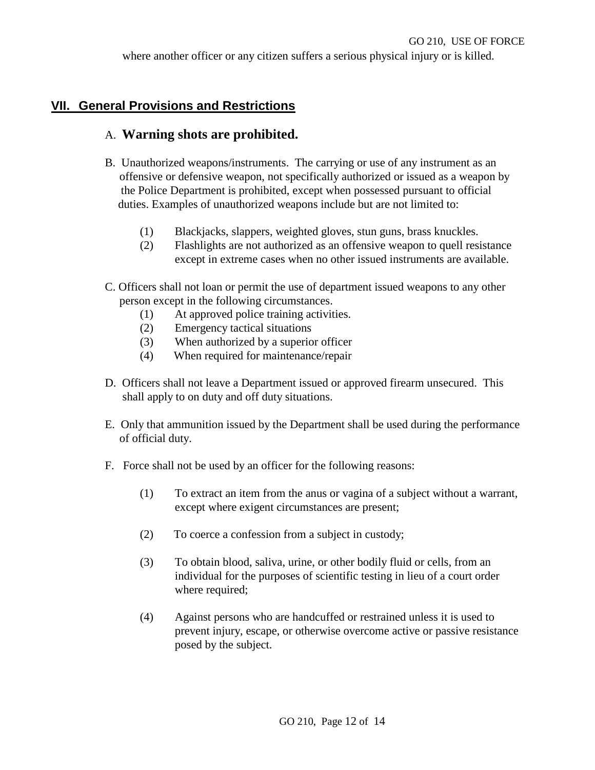where another officer or any citizen suffers a serious physical injury or is killed.

# **VII. General Provisions and Restrictions**

# A. **Warning shots are prohibited.**

- B. Unauthorized weapons/instruments. The carrying or use of any instrument as an offensive or defensive weapon, not specifically authorized or issued as a weapon by the Police Department is prohibited, except when possessed pursuant to official duties. Examples of unauthorized weapons include but are not limited to:
	- (1) Blackjacks, slappers, weighted gloves, stun guns, brass knuckles.
	- (2) Flashlights are not authorized as an offensive weapon to quell resistance except in extreme cases when no other issued instruments are available.
- C. Officers shall not loan or permit the use of department issued weapons to any other person except in the following circumstances.
	- (1) At approved police training activities.
	- (2) Emergency tactical situations
	- (3) When authorized by a superior officer
	- (4) When required for maintenance/repair
- D. Officers shall not leave a Department issued or approved firearm unsecured. This shall apply to on duty and off duty situations.
- E. Only that ammunition issued by the Department shall be used during the performance of official duty.
- F. Force shall not be used by an officer for the following reasons:
	- (1) To extract an item from the anus or vagina of a subject without a warrant, except where exigent circumstances are present;
	- (2) To coerce a confession from a subject in custody;
	- (3) To obtain blood, saliva, urine, or other bodily fluid or cells, from an individual for the purposes of scientific testing in lieu of a court order where required;
	- (4) Against persons who are handcuffed or restrained unless it is used to prevent injury, escape, or otherwise overcome active or passive resistance posed by the subject.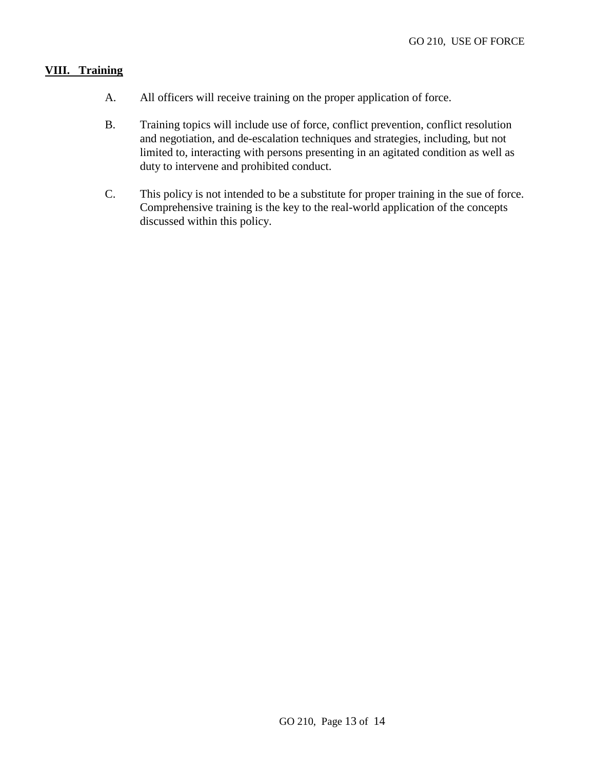#### **VIII. Training**

- A. All officers will receive training on the proper application of force.
- B. Training topics will include use of force, conflict prevention, conflict resolution and negotiation, and de-escalation techniques and strategies, including, but not limited to, interacting with persons presenting in an agitated condition as well as duty to intervene and prohibited conduct.
- C. This policy is not intended to be a substitute for proper training in the sue of force. Comprehensive training is the key to the real-world application of the concepts discussed within this policy.